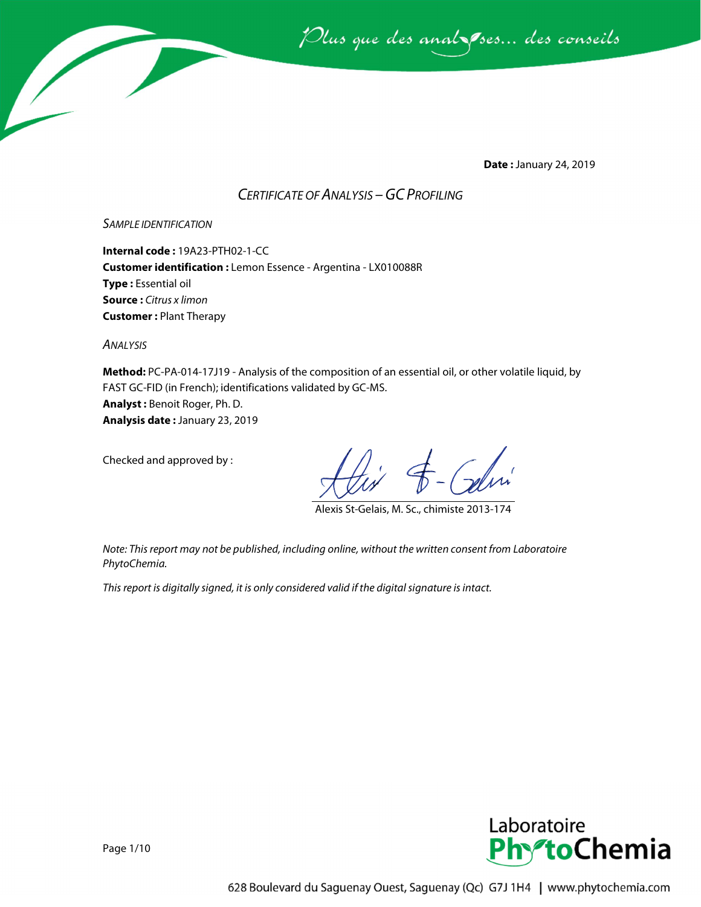

**Date :** January 24, 2019

### *CERTIFICATE OF ANALYSIS –GC PROFILING*

*SAMPLE IDENTIFICATION*

**Internal code :** 19A23-PTH02-1-CC **Customer identification :** Lemon Essence - Argentina - LX010088R **Type :** Essential oil **Source :** *Citrus x limon* **Customer :** Plant Therapy

*ANALYSIS*

**Method:** PC-PA-014-17J19 - Analysis of the composition of an essential oil, or other volatile liquid, by FAST GC-FID (in French); identifications validated by GC-MS. **Analyst :** Benoit Roger, Ph. D. **Analysis date :** January 23, 2019

Checked and approved by :

Alexis St-Gelais, M. Sc., chimiste 2013-174

*Note: This report may not be published, including online, without the written consent from Laboratoire PhytoChemia.*

*This report is digitally signed, it is only considered valid if the digital signature is intact.*

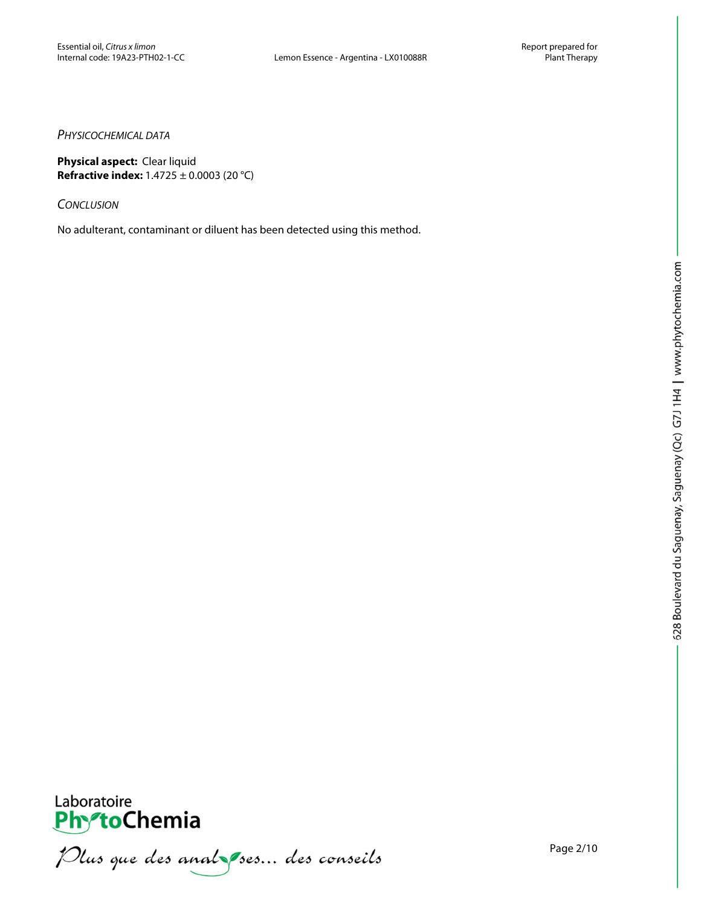### *PHYSICOCHEMICAL DATA*

**Physical aspect:** Clear liquid **Refractive index:** 1.4725 ± 0.0003 (20 °C)

*CONCLUSION*

No adulterant, contaminant or diluent has been detected using this method.



PhytoChemia<br>PhytoChemia<br>*Plus que des analyses... des conseils* 

Page 2/10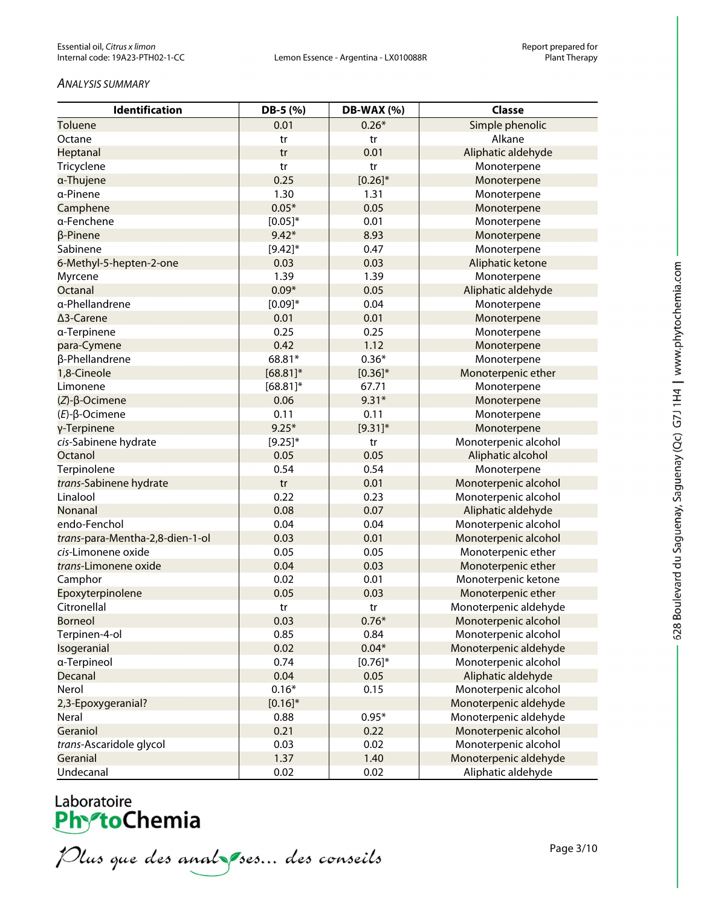#### *ANALYSIS SUMMARY*

| <b>Identification</b>           | DB-5 (%)     | <b>DB-WAX (%)</b> | <b>Classe</b>         |
|---------------------------------|--------------|-------------------|-----------------------|
| Toluene                         | 0.01         | $0.26*$           | Simple phenolic       |
| Octane                          | tr           | tr                | Alkane                |
| Heptanal                        | tr           | 0.01              | Aliphatic aldehyde    |
| Tricyclene                      | tr           | tr                | Monoterpene           |
| a-Thujene                       | 0.25         | $[0.26]^{*}$      | Monoterpene           |
| a-Pinene                        | 1.30         | 1.31              | Monoterpene           |
| Camphene                        | $0.05*$      | 0.05              | Monoterpene           |
| a-Fenchene                      | $[0.05]^{*}$ | 0.01              | Monoterpene           |
| $\beta$ -Pinene                 | $9.42*$      | 8.93              | Monoterpene           |
| Sabinene                        | $[9.42]$ *   | 0.47              | Monoterpene           |
| 6-Methyl-5-hepten-2-one         | 0.03         | 0.03              | Aliphatic ketone      |
| Myrcene                         | 1.39         | 1.39              | Monoterpene           |
| Octanal                         | $0.09*$      | 0.05              | Aliphatic aldehyde    |
| a-Phellandrene                  | $[0.09]*$    | 0.04              | Monoterpene           |
| ∆3-Carene                       | 0.01         | 0.01              | Monoterpene           |
| a-Terpinene                     | 0.25         | 0.25              | Monoterpene           |
| para-Cymene                     | 0.42         | 1.12              | Monoterpene           |
| β-Phellandrene                  | 68.81*       | $0.36*$           | Monoterpene           |
| 1,8-Cineole                     | $[68.81]$ *  | $[0.36]^{*}$      | Monoterpenic ether    |
| Limonene                        | $[68.81]$ *  | 67.71             | Monoterpene           |
| $(Z)-\beta$ -Ocimene            | 0.06         | $9.31*$           | Monoterpene           |
| $(E)-\beta$ -Ocimene            | 0.11         | 0.11              | Monoterpene           |
| γ-Terpinene                     | $9.25*$      | $[9.31]$ *        | Monoterpene           |
| cis-Sabinene hydrate            | $[9.25]^{*}$ | tr                | Monoterpenic alcohol  |
| Octanol                         | 0.05         | 0.05              | Aliphatic alcohol     |
| Terpinolene                     | 0.54         | 0.54              | Monoterpene           |
| trans-Sabinene hydrate          | tr           | 0.01              | Monoterpenic alcohol  |
| Linalool                        | 0.22         | 0.23              | Monoterpenic alcohol  |
| Nonanal                         | 0.08         | 0.07              | Aliphatic aldehyde    |
| endo-Fenchol                    | 0.04         | 0.04              | Monoterpenic alcohol  |
| trans-para-Mentha-2,8-dien-1-ol | 0.03         | 0.01              | Monoterpenic alcohol  |
| cis-Limonene oxide              | 0.05         | 0.05              | Monoterpenic ether    |
| trans-Limonene oxide            | 0.04         | 0.03              | Monoterpenic ether    |
| Camphor                         | 0.02         | 0.01              | Monoterpenic ketone   |
| Epoxyterpinolene                | 0.05         | 0.03              | Monoterpenic ether    |
| Citronellal                     | tr           | tr                | Monoterpenic aldehyde |
| <b>Borneol</b>                  | 0.03         | $0.76*$           | Monoterpenic alcohol  |
| Terpinen-4-ol                   | 0.85         | 0.84              | Monoterpenic alcohol  |
| Isogeranial                     | 0.02         | $0.04*$           | Monoterpenic aldehyde |
| a-Terpineol                     | 0.74         | $[0.76]^{*}$      | Monoterpenic alcohol  |
| Decanal                         | 0.04         | 0.05              | Aliphatic aldehyde    |
| Nerol                           | $0.16*$      | 0.15              | Monoterpenic alcohol  |
| 2,3-Epoxygeranial?              | $[0.16]$ *   |                   | Monoterpenic aldehyde |
| Neral                           | 0.88         | $0.95*$           | Monoterpenic aldehyde |
| Geraniol                        | 0.21         | 0.22              | Monoterpenic alcohol  |
| trans-Ascaridole glycol         | 0.03         | 0.02              | Monoterpenic alcohol  |
| Geranial                        | 1.37         | 1.40              | Monoterpenic aldehyde |
| Undecanal                       | 0.02         | 0.02              | Aliphatic aldehyde    |

# Laboratoire<br>**Phy-toChemia**

Plus que des analzes... des conseils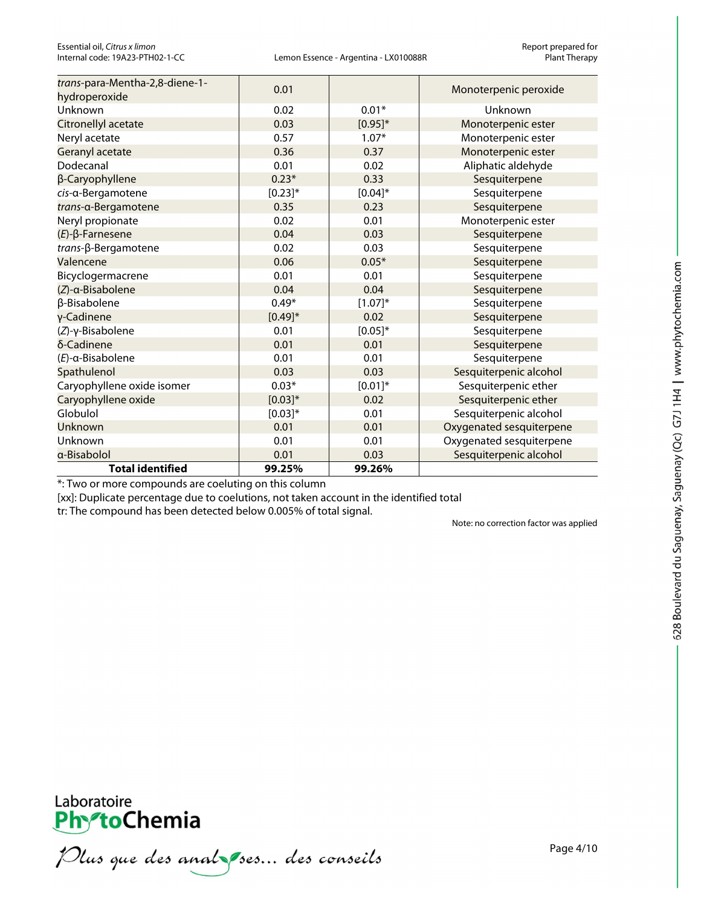Essential oil, *Citrus x limon* Report prepared for

| trans-para-Mentha-2,8-diene-1-<br>hydroperoxide | 0.01         |              | Monoterpenic peroxide    |
|-------------------------------------------------|--------------|--------------|--------------------------|
| Unknown                                         | 0.02         | $0.01*$      | Unknown                  |
| Citronellyl acetate                             | 0.03         | $[0.95]^{*}$ | Monoterpenic ester       |
| Neryl acetate                                   | 0.57         | $1.07*$      | Monoterpenic ester       |
| Geranyl acetate                                 | 0.36         | 0.37         | Monoterpenic ester       |
| Dodecanal                                       | 0.01         | 0.02         | Aliphatic aldehyde       |
| β-Caryophyllene                                 | $0.23*$      | 0.33         | Sesquiterpene            |
| cis-a-Bergamotene                               | $[0.23]^{*}$ | $[0.04]*$    | Sesquiterpene            |
| trans-a-Bergamotene                             | 0.35         | 0.23         | Sesquiterpene            |
| Neryl propionate                                | 0.02         | 0.01         | Monoterpenic ester       |
| $(E)$ - $\beta$ -Farnesene                      | 0.04         | 0.03         | Sesquiterpene            |
| trans-β-Bergamotene                             | 0.02         | 0.03         | Sesquiterpene            |
| Valencene                                       | 0.06         | $0.05*$      | Sesquiterpene            |
| Bicyclogermacrene                               | 0.01         | 0.01         | Sesquiterpene            |
| (Z)-a-Bisabolene                                | 0.04         | 0.04         | Sesquiterpene            |
| β-Bisabolene                                    | $0.49*$      | $[1.07]^{*}$ | Sesquiterpene            |
| γ-Cadinene                                      | $[0.49]^{*}$ | 0.02         | Sesquiterpene            |
| (Z)-γ-Bisabolene                                | 0.01         | $[0.05]$ *   | Sesquiterpene            |
| δ-Cadinene                                      | 0.01         | 0.01         | Sesquiterpene            |
| $(E)$ -a-Bisabolene                             | 0.01         | 0.01         | Sesquiterpene            |
| Spathulenol                                     | 0.03         | 0.03         | Sesquiterpenic alcohol   |
| Caryophyllene oxide isomer                      | $0.03*$      | $[0.01]$ *   | Sesquiterpenic ether     |
| Caryophyllene oxide                             | $[0.03]*$    | 0.02         | Sesquiterpenic ether     |
| Globulol                                        | $[0.03]*$    | 0.01         | Sesquiterpenic alcohol   |
| Unknown                                         | 0.01         | 0.01         | Oxygenated sesquiterpene |
| Unknown                                         | 0.01         | 0.01         | Oxygenated sesquiterpene |
| a-Bisabolol                                     | 0.01         | 0.03         | Sesquiterpenic alcohol   |
| <b>Total identified</b>                         | 99.25%       | 99.26%       |                          |

\*: Two or more compounds are coeluting on this column

[xx]: Duplicate percentage due to coelutions, not taken account in the identified total

tr: The compound has been detected below 0.005% of total signal.

Note: no correction factor was applied

Plus que des analzes... des conseils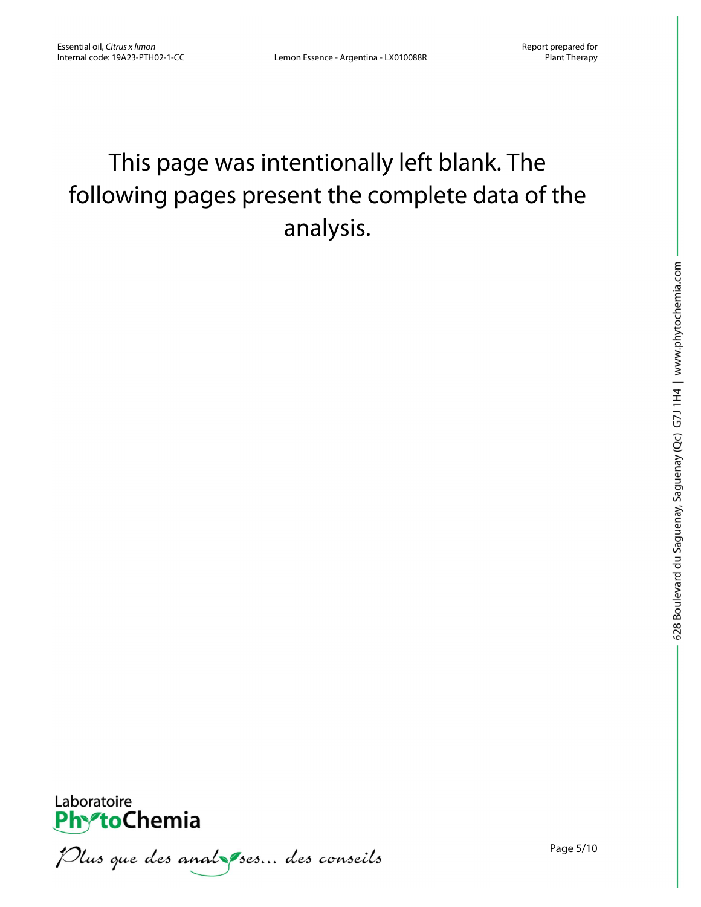### This page was intentionally left blank. The following pages present the complete data of the analysis.



Plus que des analzes... des conseils

Page 5/10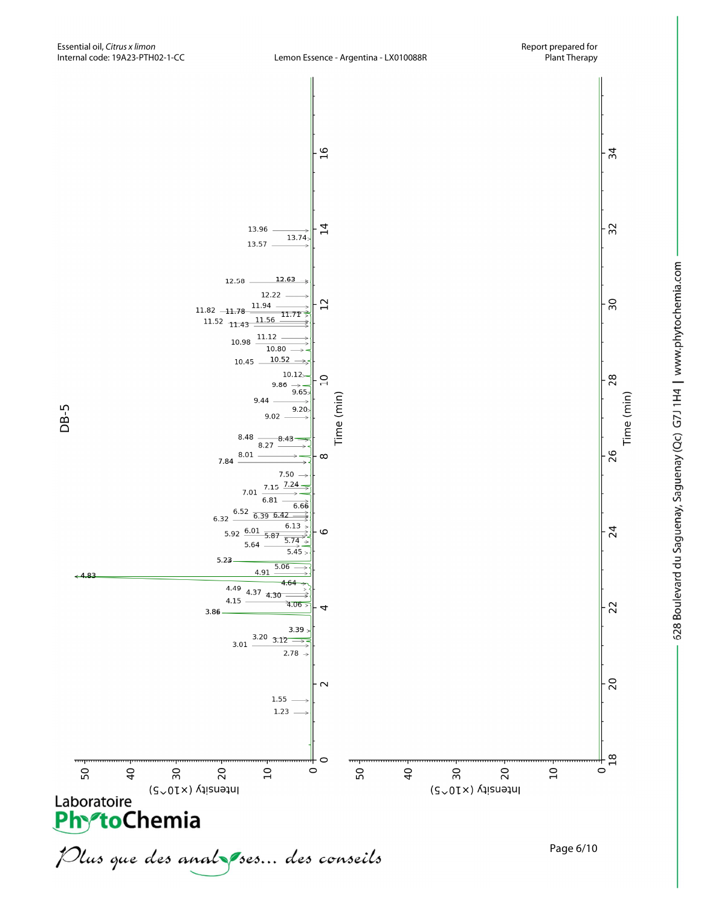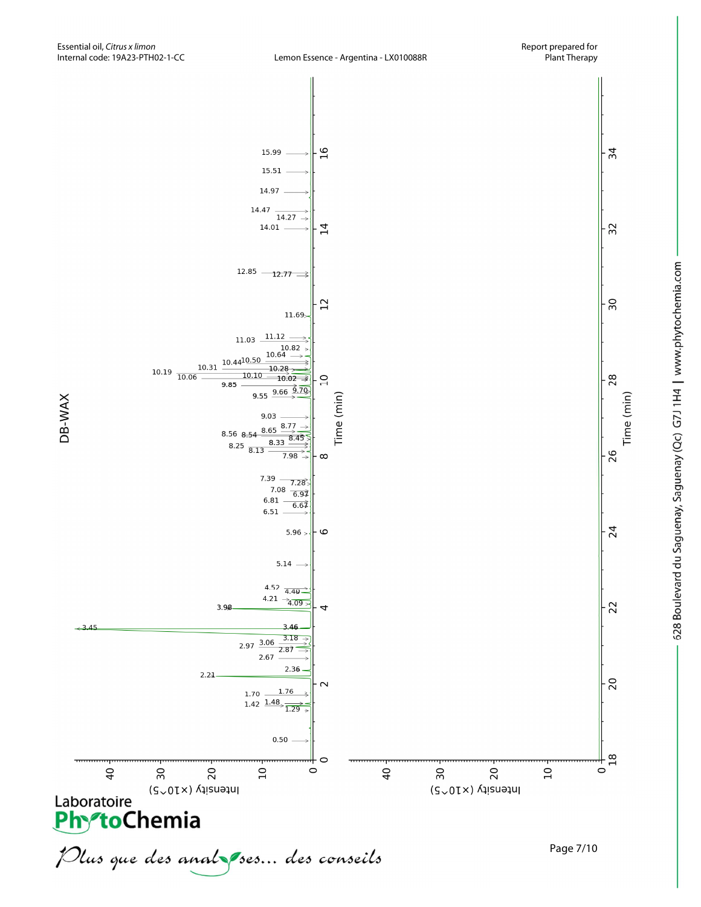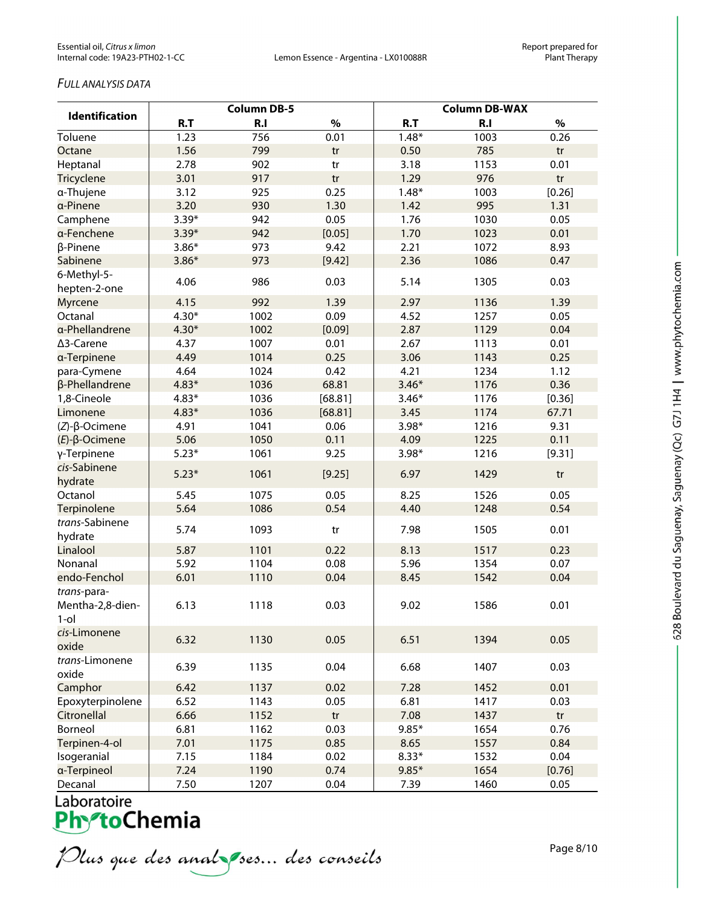### *FULL ANALYSIS DATA*

|                                            | <b>Column DB-5</b> |      |                        | <b>Column DB-WAX</b> |                |            |
|--------------------------------------------|--------------------|------|------------------------|----------------------|----------------|------------|
| <b>Identification</b>                      | R.T                | R.I  | $\%$                   | R.T                  | R <sub>1</sub> | $\%$       |
| Toluene                                    | 1.23               | 756  | 0.01                   | $1.48*$              | 1003           | 0.26       |
| Octane                                     | 1.56               | 799  | tr                     | 0.50                 | 785            | tr         |
| Heptanal                                   | 2.78               | 902  | $\mathop{\mathsf{tr}}$ | 3.18                 | 1153           | 0.01       |
| Tricyclene                                 | 3.01               | 917  | tr                     | 1.29                 | 976            | tr         |
| a-Thujene                                  | 3.12               | 925  | 0.25                   | $1.48*$              | 1003           | [0.26]     |
| a-Pinene                                   | 3.20               | 930  | 1.30                   | 1.42                 | 995            | 1.31       |
| Camphene                                   | $3.39*$            | 942  | 0.05                   | 1.76                 | 1030           | 0.05       |
| a-Fenchene                                 | $3.39*$            | 942  | [0.05]                 | 1.70                 | 1023           | 0.01       |
| β-Pinene                                   | $3.86*$            | 973  | 9.42                   | 2.21                 | 1072           | 8.93       |
| Sabinene                                   | $3.86*$            | 973  | [9.42]                 | 2.36                 | 1086           | 0.47       |
| 6-Methyl-5-<br>hepten-2-one                | 4.06               | 986  | 0.03                   | 5.14                 | 1305           | 0.03       |
| Myrcene                                    | 4.15               | 992  | 1.39                   | 2.97                 | 1136           | 1.39       |
| Octanal                                    | $4.30*$            | 1002 | 0.09                   | 4.52                 | 1257           | 0.05       |
| a-Phellandrene                             | $4.30*$            | 1002 | [0.09]                 | 2.87                 | 1129           | 0.04       |
| ∆3-Carene                                  | 4.37               | 1007 | 0.01                   | 2.67                 | 1113           | 0.01       |
| a-Terpinene                                | 4.49               | 1014 | 0.25                   | 3.06                 | 1143           | 0.25       |
| para-Cymene                                | 4.64               | 1024 | 0.42                   | 4.21                 | 1234           | 1.12       |
| β-Phellandrene                             | $4.83*$            | 1036 | 68.81                  | $3.46*$              | 1176           | 0.36       |
| 1,8-Cineole                                | $4.83*$            | 1036 | [68.81]                | $3.46*$              | 1176           | [0.36]     |
| Limonene                                   | $4.83*$            | 1036 | [68.81]                | 3.45                 | 1174           | 67.71      |
| $(Z)$ - $\beta$ -Ocimene                   | 4.91               | 1041 | 0.06                   | $3.98*$              | 1216           | 9.31       |
| $(E)$ -β-Ocimene                           | 5.06               | 1050 | 0.11                   | 4.09                 | 1225           | 0.11       |
| γ-Terpinene                                | $5.23*$            | 1061 | 9.25                   | $3.98*$              | 1216           | [9.31]     |
| cis-Sabinene<br>hydrate                    | $5.23*$            | 1061 | [9.25]                 | 6.97                 | 1429           | tr         |
| Octanol                                    | 5.45               | 1075 | 0.05                   | 8.25                 | 1526           | 0.05       |
| Terpinolene                                | 5.64               | 1086 | 0.54                   | 4.40                 | 1248           | 0.54       |
| trans-Sabinene<br>hydrate                  | 5.74               | 1093 | tr                     | 7.98                 | 1505           | 0.01       |
| Linalool                                   | 5.87               | 1101 | 0.22                   | 8.13                 | 1517           | 0.23       |
| Nonanal                                    | 5.92               | 1104 | 0.08                   | 5.96                 | 1354           | 0.07       |
| endo-Fenchol                               | 6.01               | 1110 | 0.04                   | 8.45                 | 1542           | 0.04       |
| trans-para-<br>Mentha-2,8-dien-<br>$1$ -ol | 6.13               | 1118 | 0.03                   | 9.02                 | 1586           | 0.01       |
| cis-Limonene<br>oxide                      | 6.32               | 1130 | 0.05                   | 6.51                 | 1394           | 0.05       |
| trans-Limonene<br>oxide                    | 6.39               | 1135 | 0.04                   | 6.68                 | 1407           | 0.03       |
| Camphor                                    | 6.42               | 1137 | 0.02                   | 7.28                 | 1452           | 0.01       |
| Epoxyterpinolene                           | 6.52               | 1143 | 0.05                   | 6.81                 | 1417           | 0.03       |
| Citronellal                                | 6.66               | 1152 | tr                     | 7.08                 | 1437           | tr         |
| Borneol                                    | 6.81               | 1162 | 0.03                   | $9.85*$              | 1654           | 0.76       |
| Terpinen-4-ol                              | 7.01               | 1175 | 0.85                   | 8.65                 | 1557           | 0.84       |
| Isogeranial                                | 7.15               | 1184 | 0.02                   | $8.33*$              | 1532           | 0.04       |
| a-Terpineol                                | 7.24               | 1190 | 0.74                   | $9.85*$              | 1654           | [0.76]     |
| Decanal                                    | 750                | 1207 | 0.04                   | 739                  | 1460           | <b>005</b> |

Laboratoire<br>**Phy<sup>-</sup>toChemia** 

Plus que des analzes... des conseils

Page 8/10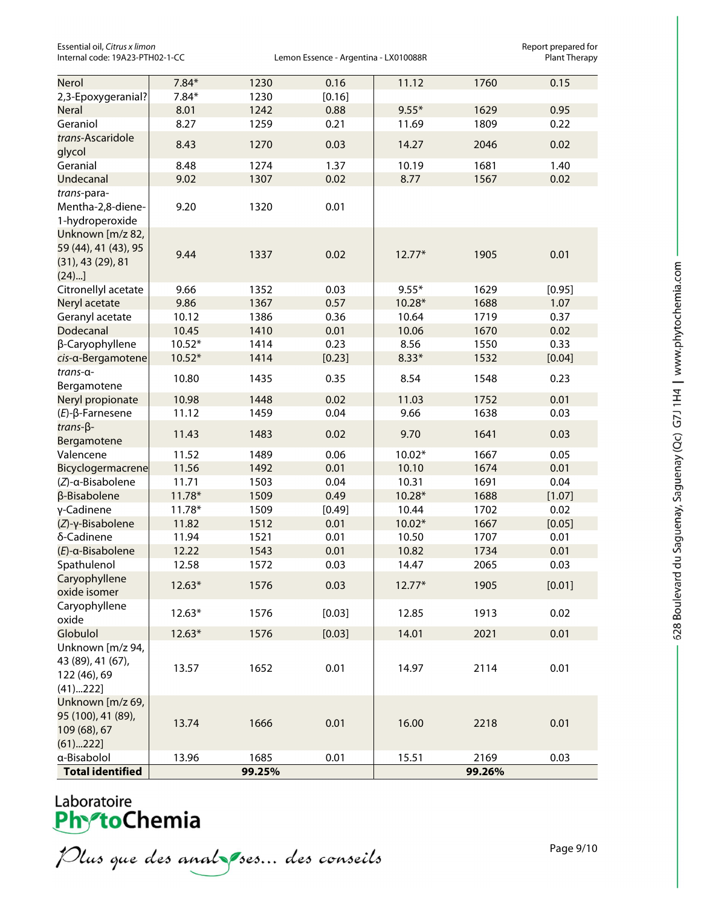Essential oil, *Citrus x limon*<br>Internal code: 19A23-PTH02-1-CC **Access Connect Science Argentina** - LX010088R **Report prepared for**<br>Plant Therapy

Lemon Essence - Argentina - LX010088R

| Nerol                                                                | $7.84*$  | 1230   | 0.16   | 11.12    | 1760   | 0.15   |
|----------------------------------------------------------------------|----------|--------|--------|----------|--------|--------|
| 2,3-Epoxygeranial?                                                   | $7.84*$  | 1230   | [0.16] |          |        |        |
| <b>Neral</b>                                                         | 8.01     | 1242   | 0.88   | $9.55*$  | 1629   | 0.95   |
| Geraniol                                                             | 8.27     | 1259   | 0.21   | 11.69    | 1809   | 0.22   |
| trans-Ascaridole<br>glycol                                           | 8.43     | 1270   | 0.03   | 14.27    | 2046   | 0.02   |
| Geranial                                                             | 8.48     | 1274   | 1.37   | 10.19    | 1681   | 1.40   |
| Undecanal                                                            | 9.02     | 1307   | 0.02   | 8.77     | 1567   | 0.02   |
| trans-para-                                                          |          |        |        |          |        |        |
| Mentha-2,8-diene-<br>1-hydroperoxide                                 | 9.20     | 1320   | 0.01   |          |        |        |
| Unknown [m/z 82,<br>59 (44), 41 (43), 95<br>(31), 43(29), 81<br>(24) | 9.44     | 1337   | 0.02   | $12.77*$ | 1905   | 0.01   |
| Citronellyl acetate                                                  | 9.66     | 1352   | 0.03   | $9.55*$  | 1629   | [0.95] |
| Neryl acetate                                                        | 9.86     | 1367   | 0.57   | 10.28*   | 1688   | 1.07   |
| Geranyl acetate                                                      | 10.12    | 1386   | 0.36   | 10.64    | 1719   | 0.37   |
| Dodecanal                                                            | 10.45    | 1410   | 0.01   | 10.06    | 1670   | 0.02   |
| β-Caryophyllene                                                      | $10.52*$ | 1414   | 0.23   | 8.56     | 1550   | 0.33   |
| cis-a-Bergamotene                                                    | $10.52*$ | 1414   | [0.23] | $8.33*$  | 1532   | [0.04] |
| trans-a-<br>Bergamotene                                              | 10.80    | 1435   | 0.35   | 8.54     | 1548   | 0.23   |
| Neryl propionate                                                     | 10.98    | 1448   | 0.02   | 11.03    | 1752   | 0.01   |
| $(E)$ - $\beta$ -Farnesene                                           | 11.12    | 1459   | 0.04   | 9.66     | 1638   | 0.03   |
| $trans-\beta-$<br>Bergamotene                                        | 11.43    | 1483   | 0.02   | 9.70     | 1641   | 0.03   |
| Valencene                                                            | 11.52    | 1489   | 0.06   | $10.02*$ | 1667   | 0.05   |
| Bicyclogermacrene                                                    | 11.56    | 1492   | 0.01   | 10.10    | 1674   | 0.01   |
| (Z)-α-Bisabolene                                                     | 11.71    | 1503   | 0.04   | 10.31    | 1691   | 0.04   |
| β-Bisabolene                                                         | $11.78*$ | 1509   | 0.49   | 10.28*   | 1688   | [1.07] |
| γ-Cadinene                                                           | $11.78*$ | 1509   | [0.49] | 10.44    | 1702   | 0.02   |
| (Z)-γ-Bisabolene                                                     | 11.82    | 1512   | 0.01   | $10.02*$ | 1667   | [0.05] |
| δ-Cadinene                                                           | 11.94    | 1521   | 0.01   | 10.50    | 1707   | 0.01   |
| $(E)$ -a-Bisabolene                                                  | 12.22    | 1543   | 0.01   | 10.82    | 1734   | 0.01   |
| Spathulenol                                                          | 12.58    | 1572   | 0.03   | 14.47    | 2065   | 0.03   |
| Caryophyllene<br>oxide isomer                                        | $12.63*$ | 1576   | 0.03   | 12.77*   | 1905   | [0.01] |
| Caryophyllene<br>oxide                                               | $12.63*$ | 1576   | [0.03] | 12.85    | 1913   | 0.02   |
| Globulol                                                             | $12.63*$ | 1576   | [0.03] | 14.01    | 2021   | 0.01   |
| Unknown [m/z 94,<br>43 (89), 41 (67),<br>122 (46), 69<br>(41)222]    | 13.57    | 1652   | 0.01   | 14.97    | 2114   | 0.01   |
| Unknown [m/z 69,<br>95 (100), 41 (89),<br>109 (68), 67<br>(61)222]   | 13.74    | 1666   | 0.01   | 16.00    | 2218   | 0.01   |
| a-Bisabolol                                                          | 13.96    | 1685   | 0.01   | 15.51    | 2169   | 0.03   |
| <b>Total identified</b>                                              |          | 99.25% |        |          | 99.26% |        |

## Laboratoire<br>**Phy<sup>s</sup>toChemia**

Plus que des analzes... des conseils

Page 9/10